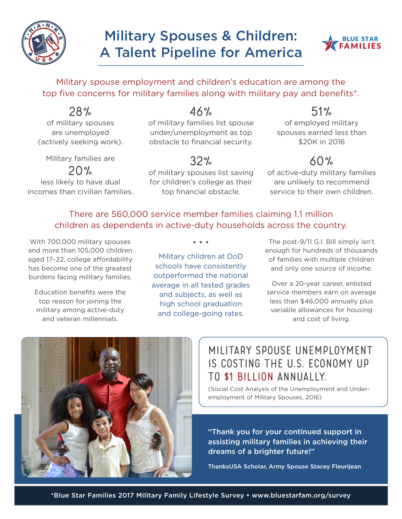

# **Military Spouses & Children:** A Talent Pipeline for America



Military spouse employment and children's education are among the top five concerns for military families along with military pay and benefits\*.

28% of military spouses are unemployed (actively seeking work).

Military families are

 $20%$ 

less likely to have dual incomes than civilian families. 46%

of military families list spouse under/unemployment as top obstacle to financial security.

32%

of military spouses list saving for children's college as their top financial obstacle.

51%

of employed military spouses earned less than \$20K in 2016

# 60%

of active-duty military families are unlikely to recommend service to their own children.

#### There are 560,000 service member families claiming 1.1 million children as dependents in active-duty households across the country.

• • •

With 700,000 military spouses and more than 105,000 children aged 17–22, college affordability has become one of the greatest burdens facing military families.

Education benefits were the top reason for joining the military among active-duty and veteran millennials.

Military children at DoD schools have consistently outperformed the national average in all tested grades and subjects, as well as high school graduation and college-going rates.

The post-9/11 G.I. Bill simply isn't enough for hundreds of thousands of families with multiple children and only one source of income.

Over a 20-year career, enlisted service members earn on average less than \$46,000 annually plus variable allowances for housing and cost of living.



# Military spouse unemployment is costing the U.S. economy up to \$1 billion annually.

(Social Cost Analysis of the Unemployment and Underemployment of Military Spouses, 2016)

"Thank you for your continued support in assisting military families in achieving their dreams of a brighter future!"

ThanksUSA Scholar, Army Spouse Stacey Fleurijean